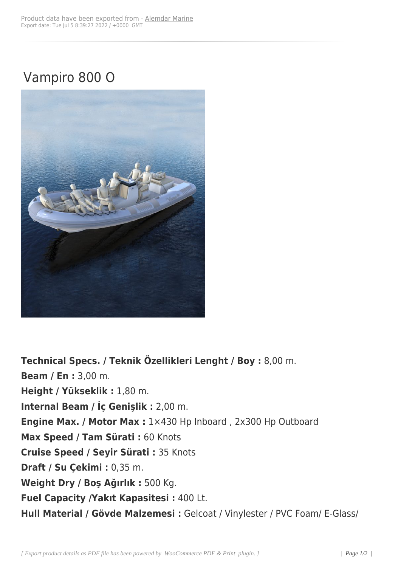## Vampiro 800 O



**Technical Specs. / Teknik Özellikleri Lenght / Boy :** 8,00 m. **Beam / En :** 3,00 m. **Height / Yükseklik :** 1,80 m. **Internal Beam / İç Genişlik :** 2,00 m. **Engine Max. / Motor Max :** 1×430 Hp Inboard , 2x300 Hp Outboard **Max Speed / Tam Sürati :** 60 Knots **Cruise Speed / Seyir Sürati :** 35 Knots **Draft / Su Çekimi :** 0,35 m. **Weight Dry / Boş Ağırlık :** 500 Kg. **Fuel Capacity /Yakıt Kapasitesi :** 400 Lt. **Hull Material / Gövde Malzemesi :** Gelcoat / Vinylester / PVC Foam/ E-Glass/